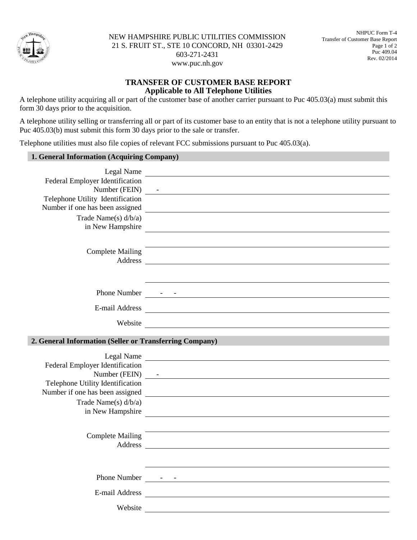

NEW HAMPSHIRE PUBLIC UTILITIES COMMISSION 21 S. FRUIT ST., STE 10 CONCORD, NH 03301-2429 603-271-2431 www.puc.nh.gov

## **TRANSFER OF CUSTOMER BASE REPORT Applicable to All Telephone Utilities**

A telephone utility acquiring all or part of the customer base of another carrier pursuant to Puc 405.03(a) must submit this form 30 days prior to the acquisition.

A telephone utility selling or transferring all or part of its customer base to an entity that is not a telephone utility pursuant to Puc 405.03(b) must submit this form 30 days prior to the sale or transfer.

Telephone utilities must also file copies of relevant FCC submissions pursuant to Puc 405.03(a).

| 1. General Information (Acquiring Company)              |                                                                                                                                                                                                                                |
|---------------------------------------------------------|--------------------------------------------------------------------------------------------------------------------------------------------------------------------------------------------------------------------------------|
|                                                         | Legal Name                                                                                                                                                                                                                     |
| Federal Employer Identification                         |                                                                                                                                                                                                                                |
|                                                         |                                                                                                                                                                                                                                |
| Telephone Utility Identification                        |                                                                                                                                                                                                                                |
| Number if one has been assigned                         |                                                                                                                                                                                                                                |
| Trade Name(s) $d/b/a$ )<br>in New Hampshire             | <u> 1989 - Andrea State Barbara, amerikan personal di sebagai personal di sebagai personal di sebagai personal d</u>                                                                                                           |
|                                                         |                                                                                                                                                                                                                                |
| <b>Complete Mailing</b>                                 |                                                                                                                                                                                                                                |
|                                                         |                                                                                                                                                                                                                                |
|                                                         |                                                                                                                                                                                                                                |
| E-mail Address                                          | <u> 1989 - Andrea Station Barbara, amerikan personal (h. 1989).</u>                                                                                                                                                            |
|                                                         | Website experience and the set of the set of the set of the set of the set of the set of the set of the set of the set of the set of the set of the set of the set of the set of the set of the set of the set of the set of t |
| 2. General Information (Seller or Transferring Company) |                                                                                                                                                                                                                                |
|                                                         |                                                                                                                                                                                                                                |
|                                                         | Legal Name                                                                                                                                                                                                                     |
| Federal Employer Identification                         |                                                                                                                                                                                                                                |
| Telephone Utility Identification                        |                                                                                                                                                                                                                                |
|                                                         | Number if one has been assigned<br><u>Leader and Communication</u>                                                                                                                                                             |
| Trade Name(s) d/b/a)                                    |                                                                                                                                                                                                                                |
| in New Hampshire                                        |                                                                                                                                                                                                                                |
|                                                         | and the control of the control of the control of the control of the control of the control of the control of the                                                                                                               |
| <b>Complete Mailing</b>                                 |                                                                                                                                                                                                                                |
|                                                         |                                                                                                                                                                                                                                |
|                                                         |                                                                                                                                                                                                                                |
|                                                         |                                                                                                                                                                                                                                |
|                                                         |                                                                                                                                                                                                                                |
| Website                                                 |                                                                                                                                                                                                                                |
|                                                         |                                                                                                                                                                                                                                |